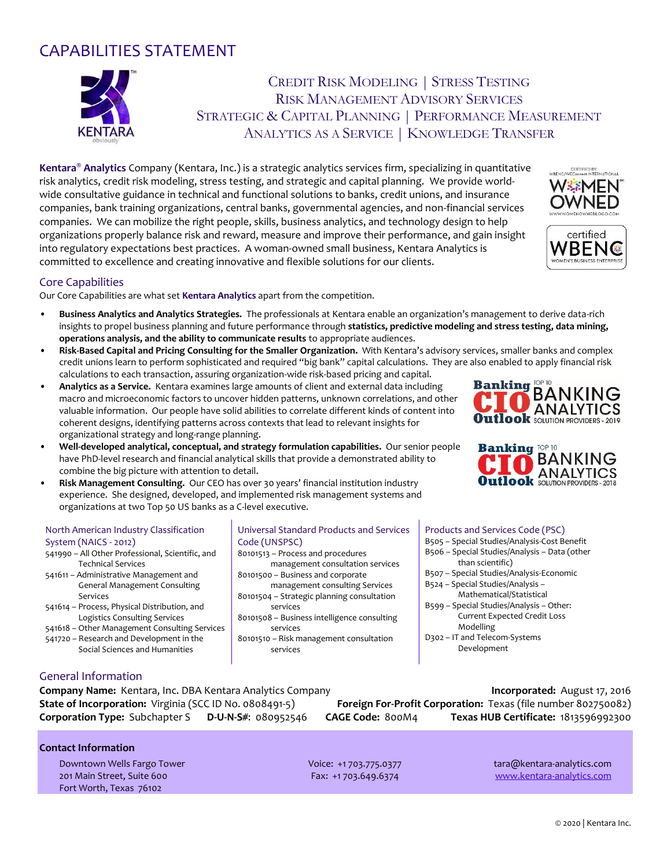# CAPABILITIES STATEMENT



## CREDIT RISK MODELING | STRESS TESTING RISK MANAGEMENT ADVISORY SERVICES STRATEGIC & CAPITAL PLANNING | PERFORMANCE MEASUREMENT ANALYTICS AS A SERVICE | KNOWLEDGE TRANSFER

**Kentara® Analytics** Company (Kentara, Inc.) is a strategic analytics services firm, specializing in quantitative risk analytics, credit risk modeling, stress testing, and strategic and capital planning. We provide worldwide consultative guidance in technical and functional solutions to banks, credit unions, and insurance companies, bank training organizations, central banks, governmental agencies, and non-financial services companies. We can mobilize the right people, skills, business analytics, and technology design to help organizations properly balance risk and reward, measure and improve their performance, and gain insight into regulatory expectations best practices. A woman-owned small business, Kentara Analytics is committed to excellence and creating innovative and flexible solutions for our clients.

#### Core Capabilities

Our Core Capabilities are what set **Kentara Analytics** apart from the competition.

- **Business Analytics and Analytics Strategies.** The professionals at Kentara enable an organization's management to derive data-rich insights to propel business planning and future performance through **statistics, predictive modeling and stress testing, data mining, operations analysis, and the ability to communicate results** to appropriate audiences.
- **Risk-Based Capital and Pricing Consulting for the Smaller Organization.** With Kentara's advisory services, smaller banks and complex credit unions learn to perform sophisticated and required "big bank" capital calculations. They are also enabled to apply financial risk calculations to each transaction, assuring organization-wide risk-based pricing and capital.
- **Analytics as a Service.** Kentara examines large amounts of client and external data including macro and microeconomic factors to uncover hidden patterns, unknown correlations, and other valuable information. Our people have solid abilities to correlate different kinds of content into coherent designs, identifying patterns across contexts that lead to relevant insights for organizational strategy and long-range planning.
- **Well-developed analytical, conceptual, and strategy formulation capabilities.** Our senior people have PhD-level research and financial analytical skills that provide a demonstrated ability to combine the big picture with attention to detail.
- **Risk Management Consulting.** Our CEO has over 30 years' financial institution industry experience. She designed, developed, and implemented risk management systems and organizations at two Top 50 US banks as a C-level executive.

#### North American Industry Classification System (NAICS - 2012)

- 541990 All Other Professional, Scientific, and Technical Services
- 541611 Administrative Management and General Management Consulting Services
- 541614 Process, Physical Distribution, and Logistics Consulting Services
- 541618 Other Management Consulting Services 541720 – Research and Development in the
	- Social Sciences and Humanities

#### Universal Standard Products and Services Code (UNSPSC)

- 80101513 Process and procedures management consultation services 80101500 – Business and corporate
- management consulting Services 80101504 – Strategic planning consultation
- services 80101508 – Business intelligence consulting services
- 80101510 Risk management consultation services

#### Products and Services Code (PSC)

- B505 Special Studies/Analysis-Cost Benefit
- B506 Special Studies/Analysis Data (other than scientific)
- B507 Special Studies/Analysis-Economic
- B524 Special Studies/Analysis Mathematical/Statistical
- B599 Special Studies/Analysis Other: Current Expected Credit Loss Modelling
- D302 IT and Telecom-Systems Development

### General Information

**Company Name:** Kentara, Inc. DBA Kentara Analytics Company **Incorporated:** August 17, 2016 **State of Incorporation:** Virginia (SCC ID No. 0808491-5) **Foreign For-Profit Corporation:** Texas (file number 802750082) **Corporation Type:** Subchapter S **D-U-N-S#**: 080952546 **CAGE Code:** 800M4 **Texas HUB Certificate:** 1813596992300

### **Contact Information**

Downtown Wells Fargo Tower Voice: +1 703.775.0377 tara@kentara-analytics.com 201 Main Street, Suite 600 Fax: +1 703.649.6374 [www.kentara-analytics.com](http://www.kentara-analytics.com/) Fort Worth, Texas 76102







VBENC **AEN'S BUSINESS ENTERPRIS**